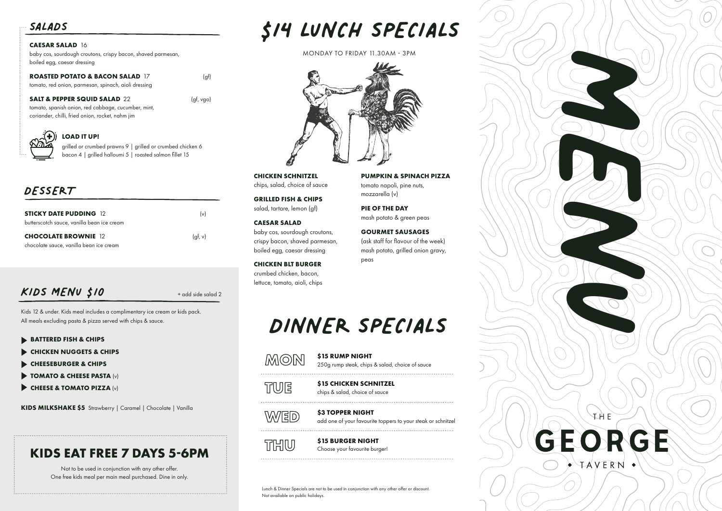# KIDS MENU \$10

Kids 12 & under. Kids meal includes a complimentary ice cream or kids pack. All meals excluding pasta & pizza served with chips & sauce.

- **BATTERED FISH & CHIPS**
- **CHICKEN NUGGETS & CHIPS**
- **CHEESEBURGER & CHIPS**
- **TOMATO & CHEESE PASTA** (v)
- **CHEESE & TOMATO PIZZA** (v)

KIDS MILKSHAKE \$5 Strawberry | Caramel | Chocolate | Vanilla

# **KIDS EAT FREE 7 DAYS 5-6PM**

+ add side salad 2

Not to be used in conjunction with any other offer. One free kids meal per main meal purchased. Dine in only. **CHICKEN SCHNITZEL** chips, salad, choice of sauce

**GRILLED FISH & CHIPS** salad, tartare, lemon (gf)

**CAESAR SALAD** baby cos, sourdough croutons, crispy bacon, shaved parmesan, boiled egg, caesar dressing

## **CHICKEN BLT BURGER**

crumbed chicken, bacon, lettuce, tomato, aioli, chips

#### **PUMPKIN & SPINACH PIZZA** tomato napoli, pine nuts, mozzarella (v)

**PIE OF THE DAY** mash potato & green peas

### **GOURMET SAUSAGES**

(ask staff for flavour of the week) mash potato, grilled onion gravy, peas

MONDAY TO FRIDAY 11.30AM - 3PM



# \$14 LUNCH SPECIALS

# DINNER SPECIALS



Lunch & Dinner Specials are not to be used in conjunction with any other offer or discount. Not available on public holidays.

## DESSERT

| <b>STICKY DATE PUDDING 12</b><br>butterscotch sauce, vanilla bean ice cream | $\{v\}$ |  |
|-----------------------------------------------------------------------------|---------|--|
| <b>CHOCOLATE BROWNIE 12</b><br>chocolate sauce, vanilla bean ice cream      | (af, v) |  |

## SALADS

#### **CAESAR SALAD** 16

baby cos, sourdough croutons, crispy bacon, shaved parmesan, boiled egg, caesar dressing

#### **ROASTED POTATO & BACON SALAD** 17 (gf)

tomato, red onion, parmesan, spinach, aioli dressing

#### **SALT & PEPPER SQUID SALAD** 22 (gf, vgo)

tomato, spanish onion, red cabbage, cucumber, mint, coriander, chilli, fried onion, rocket, nahm jim



### **LOAD IT UP!**

grilled or crumbed prawns 9 | grilled or crumbed chicken 6 bacon 4 | grilled halloumi 5 | roasted salmon fillet 15

### **\$15 RUMP NIGHT**

250g rump steak, chips & salad, choice of sauce

#### **\$15 CHICKEN SCHNITZEL** chips & salad, choice of sauce

**WED** 

**\$15 BURGER NIGHT**  Choose your favourite burger!

# **\$3 TOPPER NIGHT**

add one of your favourite toppers to your steak or schnitzel 

# **MON**

**TUE**

# **THU**